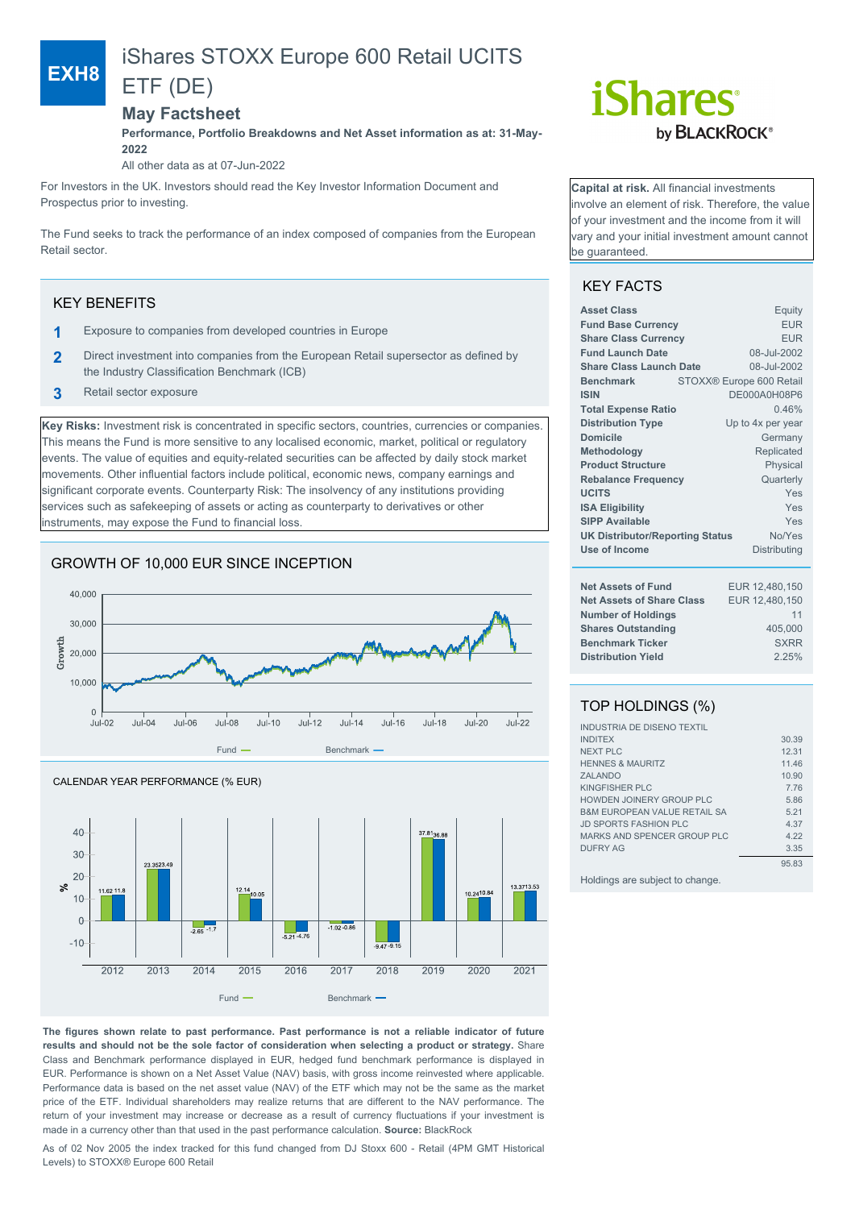# iShares STOXX Europe 600 Retail UCITS

## ETF (DE)

### **May Factsheet**

**Performance, Portfolio Breakdowns and Net Asset information as at: 31-May-2022**

All other data as at 07-Jun-2022

For Investors in the UK. Investors should read the Key Investor Information Document and Prospectus prior to investing.

The Fund seeks to track the performance of an index composed of companies from the European Retail sector.

### KEY BENEFITS

**EXH8**

- **1** Exposure to companies from developed countries in Europe
- **2** Direct investment into companies from the European Retail supersector as defined by the Industry Classification Benchmark (ICB)
- **3** Retail sector exposure

**Key Risks:** Investment risk is concentrated in specific sectors, countries, currencies or companies. This means the Fund is more sensitive to any localised economic, market, political or regulatory events. The value of equities and equity-related securities can be affected by daily stock market movements. Other influential factors include political, economic news, company earnings and significant corporate events. Counterparty Risk: The insolvency of any institutions providing services such as safekeeping of assets or acting as counterparty to derivatives or other instruments, may expose the Fund to financial loss.

### GROWTH OF 10,000 EUR SINCE INCEPTION





# *iShares* by **BLACKROCK**®

**Capital at risk.** All financial investments involve an element of risk. Therefore, the value of your investment and the income from it will vary and your initial investment amount cannot be guaranteed.

### KEY FACTS

| <b>Asset Class</b>                                   | Equity                   |  |
|------------------------------------------------------|--------------------------|--|
| <b>Fund Base Currency</b>                            | <b>EUR</b>               |  |
| <b>Share Class Currency</b>                          | <b>EUR</b>               |  |
| <b>Fund Launch Date</b>                              | 08-Jul-2002              |  |
| <b>Share Class Launch Date</b>                       | 08-Jul-2002              |  |
| <b>Benchmark</b>                                     | STOXX® Europe 600 Retail |  |
| <b>ISIN</b>                                          | DE000A0H08P6             |  |
| <b>Total Expense Ratio</b>                           | 0.46%                    |  |
| <b>Distribution Type</b>                             | Up to 4x per year        |  |
| Domicile                                             | Germany                  |  |
| Methodology                                          | Replicated               |  |
| <b>Product Structure</b>                             | Physical                 |  |
| <b>Rebalance Frequency</b>                           | Quarterly                |  |
| <b>UCITS</b>                                         | Yes                      |  |
| <b>ISA Eligibility</b>                               | Yes                      |  |
| <b>SIPP Available</b>                                | Yes                      |  |
| No/Yes<br><b>UK Distributor/Reporting Status</b>     |                          |  |
| Use of Income                                        | Distributing             |  |
| <b>Net Assets of Fund</b>                            |                          |  |
| <b>Net Assets of Share Class</b>                     | EUR 12,480,150           |  |
|                                                      | EUR 12,480,150<br>11     |  |
| <b>Number of Holdings</b>                            |                          |  |
| <b>Shares Outstanding</b><br><b>Benchmark Ticker</b> | 405,000<br><b>SXRR</b>   |  |
| <b>Distribution Yield</b>                            |                          |  |
|                                                      | 2.25%                    |  |

### TOP HOLDINGS (%)

| <b>INDUSTRIA DE DISENO TEXTIL</b>       |       |
|-----------------------------------------|-------|
| <b>INDITEX</b>                          | 30.39 |
| <b>NEXT PLC</b>                         | 12.31 |
| <b>HENNES &amp; MAURITZ</b>             | 11.46 |
| <b>ZALANDO</b>                          | 10.90 |
| KINGFISHER PLC                          | 7.76  |
| HOWDEN JOINERY GROUP PLC                | 5.86  |
| <b>B&amp;M EUROPEAN VALUE RETAIL SA</b> | 5.21  |
| <b>JD SPORTS FASHION PLC</b>            | 4.37  |
| MARKS AND SPENCER GROUP PLC             | 4.22  |
| <b>DUFRY AG</b>                         | 3.35  |
|                                         | 95.83 |
| Holdings are subject to change.         |       |

**The figures shown relate to past performance. Past performance is not a reliable indicator of future results and should not be the sole factor of consideration when selecting a product or strategy.** Share Class and Benchmark performance displayed in EUR, hedged fund benchmark performance is displayed in EUR. Performance is shown on a Net Asset Value (NAV) basis, with gross income reinvested where applicable. Performance data is based on the net asset value (NAV) of the ETF which may not be the same as the market price of the ETF. Individual shareholders may realize returns that are different to the NAV performance. The return of your investment may increase or decrease as a result of currency fluctuations if your investment is made in a currency other than that used in the past performance calculation. **Source:** BlackRock

As of 02 Nov 2005 the index tracked for this fund changed from DJ Stoxx 600 - Retail (4PM GMT Historical Levels) to STOXX® Europe 600 Retail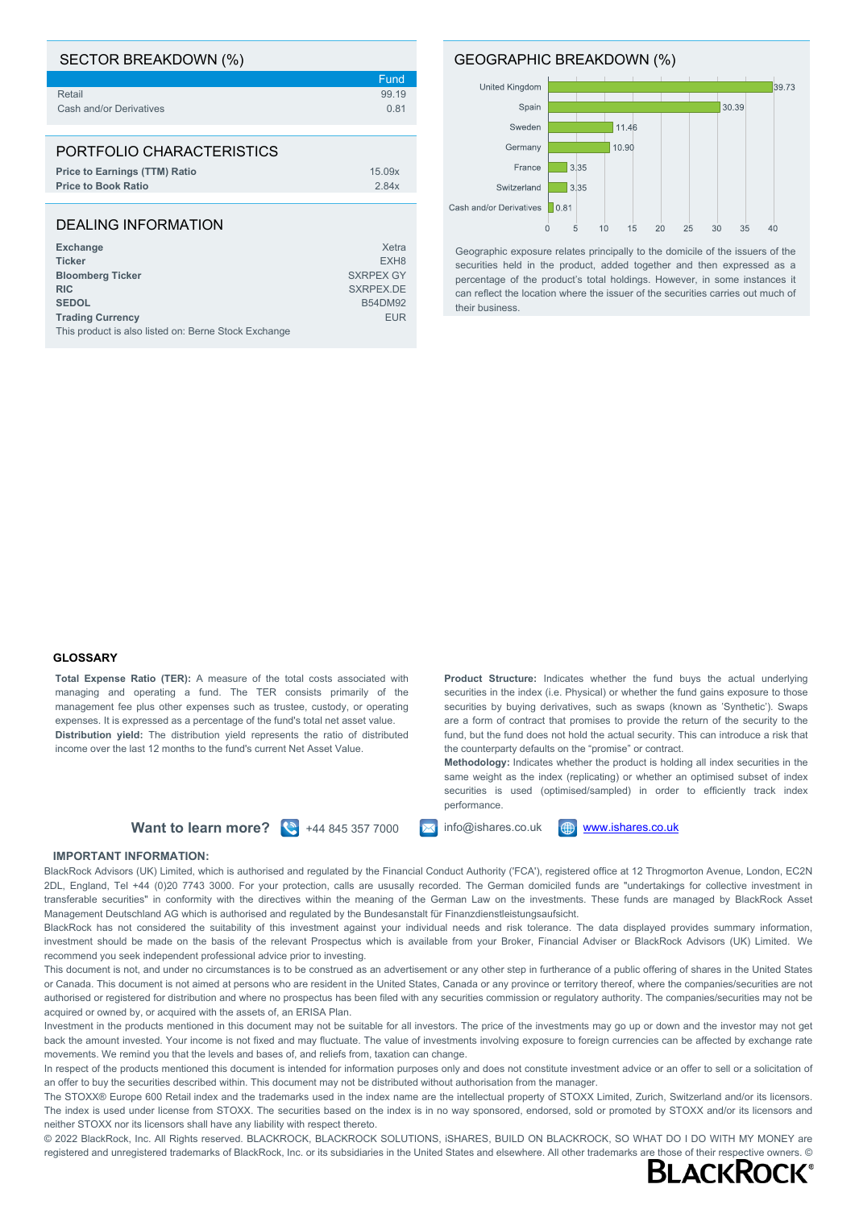| SECTOR BREAKDOWN (%)                 |                  |
|--------------------------------------|------------------|
|                                      | Fund             |
| Retail                               | 99.19            |
| Cash and/or Derivatives              | 0.81             |
|                                      |                  |
| PORTFOLIO CHARACTERISTICS            |                  |
| <b>Price to Earnings (TTM) Ratio</b> | 15.09x           |
| <b>Price to Book Ratio</b>           | 2.84x            |
|                                      |                  |
| DEALING INFORMATION                  |                  |
| <b>Exchange</b>                      | Xetra            |
| <b>Ticker</b>                        | EXH <sub>8</sub> |

**Bloomberg Ticker** SXRPEX GY

**RIC** SXRPEX.DE **SEDOL** B54DM92 **Trading Currency** EUR This product is also listed on: Berne Stock Exchange

### GEOGRAPHIC BREAKDOWN (%)



Geographic exposure relates principally to the domicile of the issuers of the securities held in the product, added together and then expressed as a percentage of the product's total holdings. However, in some instances it can reflect the location where the issuer of the securities carries out much of their business.

#### **GLOSSARY**

**Total Expense Ratio (TER):** A measure of the total costs associated with managing and operating a fund. The TER consists primarily of the management fee plus other expenses such as trustee, custody, or operating expenses. It is expressed as a percentage of the fund's total net asset value. **Distribution yield:** The distribution yield represents the ratio of distributed income over the last 12 months to the fund's current Net Asset Value.

**Product Structure:** Indicates whether the fund buys the actual underlying securities in the index (i.e. Physical) or whether the fund gains exposure to those securities by buying derivatives, such as swaps (known as 'Synthetic'). Swaps are a form of contract that promises to provide the return of the security to the fund, but the fund does not hold the actual security. This can introduce a risk that the counterparty defaults on the "promise" or contract.

**Methodology:** Indicates whether the product is holding all index securities in the same weight as the index (replicating) or whether an optimised subset of index securities is used (optimised/sampled) in order to efficiently track index performance.

**Want to learn more?**  $\left(\frac{8}{3}\right)$  +44 845 357 7000  $\left(\frac{1}{2}\right)$  info@ishares.co.uk  $\left(\frac{4}{2}\right)$  [www.ishares.co.uk](http://www.ishares.co.uk)

### **IMPORTANT INFORMATION:**

BlackRock Advisors (UK) Limited, which is authorised and regulated by the Financial Conduct Authority ('FCA'), registered office at 12 Throgmorton Avenue, London, EC2N 2DL, England, Tel +44 (0)20 7743 3000. For your protection, calls are ususally recorded. The German domiciled funds are "undertakings for collective investment in transferable securities" in conformity with the directives within the meaning of the German Law on the investments. These funds are managed by BlackRock Asset Management Deutschland AG which is authorised and regulated by the Bundesanstalt für Finanzdienstleistungsaufsicht.

BlackRock has not considered the suitability of this investment against your individual needs and risk tolerance. The data displayed provides summary information, investment should be made on the basis of the relevant Prospectus which is available from your Broker, Financial Adviser or BlackRock Advisors (UK) Limited. We recommend you seek independent professional advice prior to investing.

This document is not, and under no circumstances is to be construed as an advertisement or any other step in furtherance of a public offering of shares in the United States or Canada. This document is not aimed at persons who are resident in the United States, Canada or any province or territory thereof, where the companies/securities are not authorised or registered for distribution and where no prospectus has been filed with any securities commission or regulatory authority. The companies/securities may not be acquired or owned by, or acquired with the assets of, an ERISA Plan.

Investment in the products mentioned in this document may not be suitable for all investors. The price of the investments may go up or down and the investor may not get back the amount invested. Your income is not fixed and may fluctuate. The value of investments involving exposure to foreign currencies can be affected by exchange rate movements. We remind you that the levels and bases of, and reliefs from, taxation can change.

In respect of the products mentioned this document is intended for information purposes only and does not constitute investment advice or an offer to sell or a solicitation of an offer to buy the securities described within. This document may not be distributed without authorisation from the manager.

The STOXX® Europe 600 Retail index and the trademarks used in the index name are the intellectual property of STOXX Limited, Zurich, Switzerland and/or its licensors. The index is used under license from STOXX. The securities based on the index is in no way sponsored, endorsed, sold or promoted by STOXX and/or its licensors and neither STOXX nor its licensors shall have any liability with respect thereto.

© 2022 BlackRock, Inc. All Rights reserved. BLACKROCK, BLACKROCK SOLUTIONS, iSHARES, BUILD ON BLACKROCK, SO WHAT DO I DO WITH MY MONEY are registered and unregistered trademarks of BlackRock, Inc. or its subsidiaries in the United States and elsewhere. All other trademarks are those of their respective owners. ©<br>RI ACKROCK®